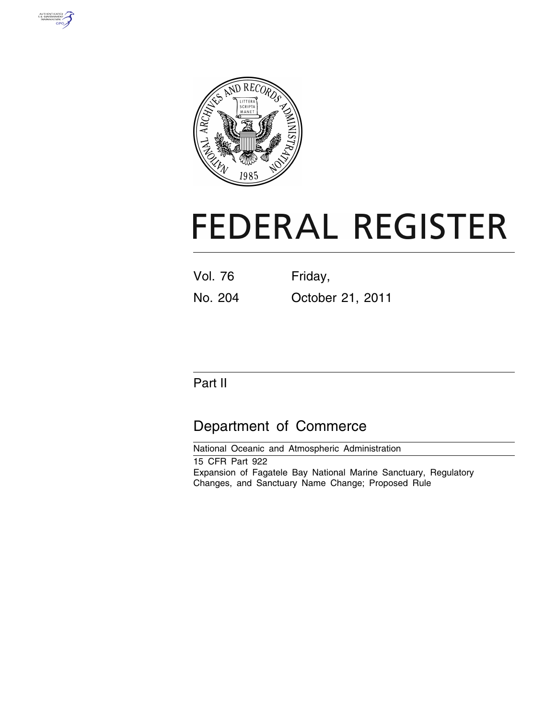



# **FEDERAL REGISTER**

| <b>Vol. 76</b> | Friday,          |
|----------------|------------------|
| No. 204        | October 21, 2011 |

# Part II

# Department of Commerce

National Oceanic and Atmospheric Administration 15 CFR Part 922 Expansion of Fagatele Bay National Marine Sanctuary, Regulatory Changes, and Sanctuary Name Change; Proposed Rule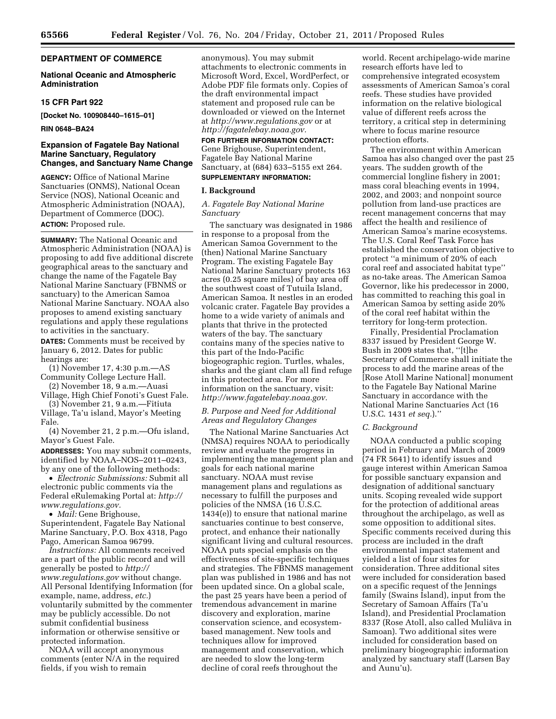# **DEPARTMENT OF COMMERCE**

# **National Oceanic and Atmospheric Administration**

#### **15 CFR Part 922**

**[Docket No. 100908440–1615–01]** 

#### **RIN 0648–BA24**

# **Expansion of Fagatele Bay National Marine Sanctuary, Regulatory Changes, and Sanctuary Name Change**

**AGENCY:** Office of National Marine Sanctuaries (ONMS), National Ocean Service (NOS), National Oceanic and Atmospheric Administration (NOAA), Department of Commerce (DOC). **ACTION:** Proposed rule.

**SUMMARY:** The National Oceanic and Atmospheric Administration (NOAA) is proposing to add five additional discrete geographical areas to the sanctuary and change the name of the Fagatele Bay National Marine Sanctuary (FBNMS or sanctuary) to the American Samoa National Marine Sanctuary. NOAA also proposes to amend existing sanctuary regulations and apply these regulations to activities in the sanctuary.

**DATES:** Comments must be received by January 6, 2012. Dates for public hearings are:

(1) November 17, 4:30 p.m.—AS Community College Lecture Hall. (2) November 18, 9 a.m.—Auasi

Village, High Chief Fonoti's Guest Fale. (3) November 21, 9 a.m.—Fitiuta

Village, Ta'u island, Mayor's Meeting Fale.

(4) November 21, 2 p.m.—Ofu island, Mayor's Guest Fale.

**ADDRESSES:** You may submit comments, identified by NOAA–NOS–2011–0243, by any one of the following methods:

• *Electronic Submissions:* Submit all electronic public comments via the Federal eRulemaking Portal at: *[http://](http://www.regulations.gov)  [www.regulations.gov.](http://www.regulations.gov)* 

• *Mail:* Gene Brighouse, Superintendent, Fagatele Bay National Marine Sanctuary, P.O. Box 4318, Pago Pago, American Samoa 96799.

*Instructions:* All comments received are a part of the public record and will generally be posted to *[http://](http://www.regulations.gov) [www.regulations.gov](http://www.regulations.gov)* without change. All Personal Identifying Information (for example, name, address, *etc.*) voluntarily submitted by the commenter may be publicly accessible. Do not submit confidential business information or otherwise sensitive or protected information.

NOAA will accept anonymous comments (enter N/A in the required fields, if you wish to remain

anonymous). You may submit attachments to electronic comments in Microsoft Word, Excel, WordPerfect, or Adobe PDF file formats only. Copies of the draft environmental impact statement and proposed rule can be downloaded or viewed on the Internet at *<http://www.regulations.gov>* or at *[http://fagatelebay.noaa.gov.](http://fagatelebay.noaa.gov)* 

**FOR FURTHER INFORMATION CONTACT:**  Gene Brighouse, Superintendent, Fagatele Bay National Marine Sanctuary, at (684) 633–5155 ext 264. **SUPPLEMENTARY INFORMATION:** 

#### **I. Background**

## *A. Fagatele Bay National Marine Sanctuary*

The sanctuary was designated in 1986 in response to a proposal from the American Samoa Government to the (then) National Marine Sanctuary Program. The existing Fagatele Bay National Marine Sanctuary protects 163 acres (0.25 square miles) of bay area off the southwest coast of Tutuila Island, American Samoa. It nestles in an eroded volcanic crater. Fagatele Bay provides a home to a wide variety of animals and plants that thrive in the protected waters of the bay. The sanctuary contains many of the species native to this part of the Indo-Pacific biogeographic region. Turtles, whales, sharks and the giant clam all find refuge in this protected area. For more information on the sanctuary, visit: *[http://www.fagatelebay.noaa.gov.](http://www.fagatelebay.noaa.gov)* 

# *B. Purpose and Need for Additional Areas and Regulatory Changes*

The National Marine Sanctuaries Act (NMSA) requires NOAA to periodically review and evaluate the progress in implementing the management plan and goals for each national marine sanctuary. NOAA must revise management plans and regulations as necessary to fulfill the purposes and policies of the NMSA (16 U.S.C. 1434(e)) to ensure that national marine sanctuaries continue to best conserve, protect, and enhance their nationally significant living and cultural resources. NOAA puts special emphasis on the effectiveness of site-specific techniques and strategies. The FBNMS management plan was published in 1986 and has not been updated since. On a global scale, the past 25 years have been a period of tremendous advancement in marine discovery and exploration, marine conservation science, and ecosystembased management. New tools and techniques allow for improved management and conservation, which are needed to slow the long-term decline of coral reefs throughout the

world. Recent archipelago-wide marine research efforts have led to comprehensive integrated ecosystem assessments of American Samoa's coral reefs. These studies have provided information on the relative biological value of different reefs across the territory, a critical step in determining where to focus marine resource protection efforts.

The environment within American Samoa has also changed over the past 25 years. The sudden growth of the commercial longline fishery in 2001; mass coral bleaching events in 1994, 2002, and 2003; and nonpoint source pollution from land-use practices are recent management concerns that may affect the health and resilience of American Samoa's marine ecosystems. The U.S. Coral Reef Task Force has established the conservation objective to protect ''a minimum of 20% of each coral reef and associated habitat type'' as no-take areas. The American Samoa Governor, like his predecessor in 2000, has committed to reaching this goal in American Samoa by setting aside 20% of the coral reef habitat within the territory for long-term protection.

Finally, Presidential Proclamation 8337 issued by President George W. Bush in 2009 states that, ''[t]he Secretary of Commerce shall initiate the process to add the marine areas of the [Rose Atoll Marine National] monument to the Fagatele Bay National Marine Sanctuary in accordance with the National Marine Sanctuaries Act (16 U.S.C. 1431 *et seq.*).''

# *C. Background*

NOAA conducted a public scoping period in February and March of 2009 (74 FR 5641) to identify issues and gauge interest within American Samoa for possible sanctuary expansion and designation of additional sanctuary units. Scoping revealed wide support for the protection of additional areas throughout the archipelago, as well as some opposition to additional sites. Specific comments received during this process are included in the draft environmental impact statement and yielded a list of four sites for consideration. Three additional sites were included for consideration based on a specific request of the Jennings family (Swains Island), input from the Secretary of Samoan Affairs (Ta'u Island), and Presidential Proclamation 8337 (Rose Atoll, also called Muliāva in Samoan). Two additional sites were included for consideration based on preliminary biogeographic information analyzed by sanctuary staff (Larsen Bay and Aunu'u).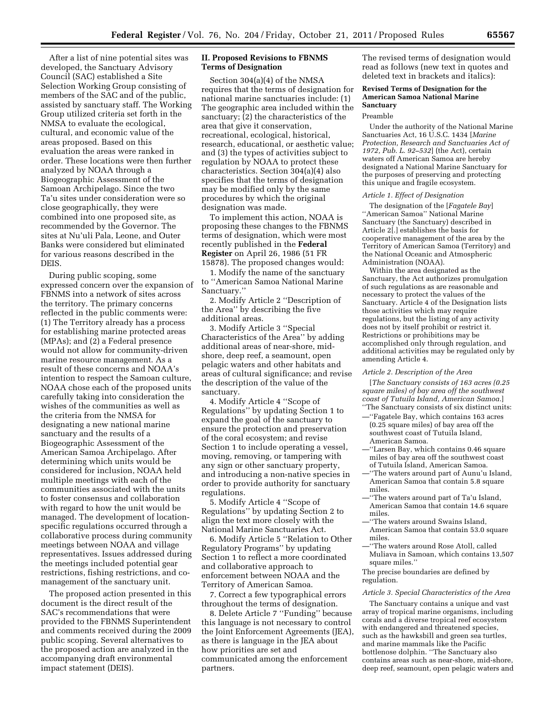After a list of nine potential sites was developed, the Sanctuary Advisory Council (SAC) established a Site Selection Working Group consisting of members of the SAC and of the public, assisted by sanctuary staff. The Working Group utilized criteria set forth in the NMSA to evaluate the ecological, cultural, and economic value of the areas proposed. Based on this evaluation the areas were ranked in order. These locations were then further analyzed by NOAA through a Biogeographic Assessment of the Samoan Archipelago. Since the two Ta'u sites under consideration were so close geographically, they were combined into one proposed site, as recommended by the Governor. The sites at Nu'uli Pala, Leone, and Outer Banks were considered but eliminated for various reasons described in the DEIS.

During public scoping, some expressed concern over the expansion of FBNMS into a network of sites across the territory. The primary concerns reflected in the public comments were: (1) The Territory already has a process for establishing marine protected areas (MPAs); and (2) a Federal presence would not allow for community-driven marine resource management. As a result of these concerns and NOAA's intention to respect the Samoan culture, NOAA chose each of the proposed units carefully taking into consideration the wishes of the communities as well as the criteria from the NMSA for designating a new national marine sanctuary and the results of a Biogeographic Assessment of the American Samoa Archipelago. After determining which units would be considered for inclusion, NOAA held multiple meetings with each of the communities associated with the units to foster consensus and collaboration with regard to how the unit would be managed. The development of locationspecific regulations occurred through a collaborative process during community meetings between NOAA and village representatives. Issues addressed during the meetings included potential gear restrictions, fishing restrictions, and comanagement of the sanctuary unit.

The proposed action presented in this document is the direct result of the SAC's recommendations that were provided to the FBNMS Superintendent and comments received during the 2009 public scoping. Several alternatives to the proposed action are analyzed in the accompanying draft environmental impact statement (DEIS).

# **II. Proposed Revisions to FBNMS Terms of Designation**

Section 304(a)(4) of the NMSA requires that the terms of designation for national marine sanctuaries include: (1) The geographic area included within the sanctuary; (2) the characteristics of the area that give it conservation, recreational, ecological, historical, research, educational, or aesthetic value; and (3) the types of activities subject to regulation by NOAA to protect these characteristics. Section 304(a)(4) also specifies that the terms of designation may be modified only by the same procedures by which the original designation was made.

To implement this action, NOAA is proposing these changes to the FBNMS terms of designation, which were most recently published in the **Federal Register** on April 26, 1986 (51 FR 15878). The proposed changes would:

1. Modify the name of the sanctuary to ''American Samoa National Marine Sanctuary.''

2. Modify Article 2 ''Description of the Area'' by describing the five additional areas.

3. Modify Article 3 ''Special Characteristics of the Area'' by adding additional areas of near-shore, midshore, deep reef, a seamount, open pelagic waters and other habitats and areas of cultural significance; and revise the description of the value of the sanctuary.

4. Modify Article 4 ''Scope of Regulations'' by updating Section 1 to expand the goal of the sanctuary to ensure the protection and preservation of the coral ecosystem; and revise Section 1 to include operating a vessel, moving, removing, or tampering with any sign or other sanctuary property, and introducing a non-native species in order to provide authority for sanctuary regulations.

5. Modify Article 4 ''Scope of Regulations'' by updating Section 2 to align the text more closely with the National Marine Sanctuaries Act.

6. Modify Article 5 ''Relation to Other Regulatory Programs'' by updating Section 1 to reflect a more coordinated and collaborative approach to enforcement between NOAA and the Territory of American Samoa.

7. Correct a few typographical errors throughout the terms of designation.

8. Delete Article 7 ''Funding'' because this language is not necessary to control the Joint Enforcement Agreements (JEA), as there is language in the JEA about how priorities are set and communicated among the enforcement partners.

The revised terms of designation would read as follows (new text in quotes and deleted text in brackets and italics):

## **Revised Terms of Designation for the American Samoa National Marine Sanctuary**

#### Preamble

Under the authority of the National Marine Sanctuaries Act, 16 U.S.C. 1434 [*Marine Protection, Research and Sanctuaries Act of 1972, Pub. L. 92–532*] (the Act), certain waters off American Samoa are hereby designated a National Marine Sanctuary for the purposes of preserving and protecting this unique and fragile ecosystem.

#### *Article 1. Effect of Designation*

The designation of the [*Fagatele Bay*] ''American Samoa'' National Marine Sanctuary (the Sanctuary) described in Article 2[.] establishes the basis for cooperative management of the area by the Territory of American Samoa (Territory) and the National Oceanic and Atmospheric Administration (NOAA).

Within the area designated as the Sanctuary, the Act authorizes promulgation of such regulations as are reasonable and necessary to protect the values of the Sanctuary. Article 4 of the Designation lists those activities which may require regulations, but the listing of any activity does not by itself prohibit or restrict it. Restrictions or prohibitions may be accomplished only through regulation, and additional activities may be regulated only by amending Article 4.

#### *Article 2. Description of the Area*

[*The Sanctuary consists of 163 acres (0.25 square miles) of bay area off the southwest coast of Tutuila Island, American Samoa.*] ''The Sanctuary consists of six distinct units:

- —''Fagatele Bay, which contains 163 acres (0.25 square miles) of bay area off the southwest coast of Tutuila Island, American Samoa.
- —''Larsen Bay, which contains 0.46 square miles of bay area off the southwest coast of Tutuila Island, American Samoa.
- —''The waters around part of Aunu'u Island, American Samoa that contain 5.8 square miles.
- —''The waters around part of Ta'u Island, American Samoa that contain 14.6 square miles.
- —''The waters around Swains Island, American Samoa that contain 53.0 square miles.
- —''The waters around Rose Atoll, called Muliava in Samoan, which contains 13,507 square miles.

#### The precise boundaries are defined by regulation.

#### *Article 3. Special Characteristics of the Area*

The Sanctuary contains a unique and vast array of tropical marine organisms, including corals and a diverse tropical reef ecosystem with endangered and threatened species, such as the hawksbill and green sea turtles, and marine mammals like the Pacific bottlenose dolphin. ''The Sanctuary also contains areas such as near-shore, mid-shore, deep reef, seamount, open pelagic waters and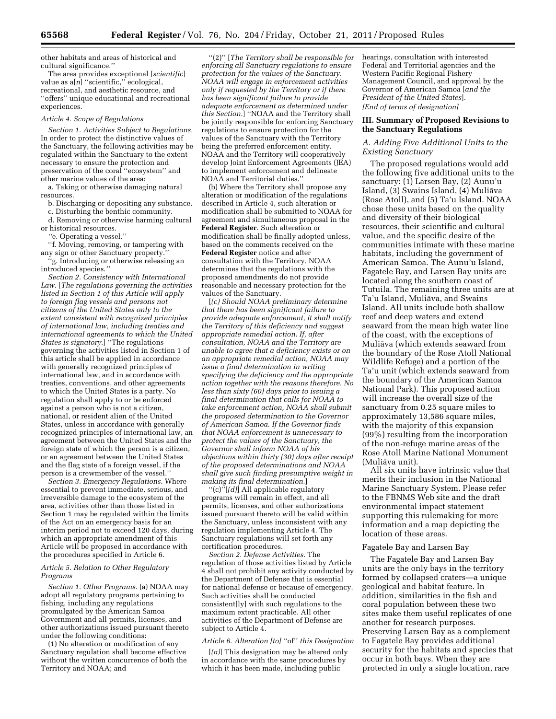other habitats and areas of historical and cultural significance.''

The area provides exceptional [*scientific*] value as a[*n*] ''scientific,'' ecological, recreational, and aesthetic resource, and ''offers'' unique educational and recreational experiences.

#### *Article 4. Scope of Regulations*

*Section 1. Activities Subject to Regulations.*  In order to protect the distinctive values of the Sanctuary, the following activities may be regulated within the Sanctuary to the extent necessary to ensure the protection and preservation of the coral ''ecosystem'' and other marine values of the area:

a. Taking or otherwise damaging natural resources.

b. Discharging or depositing any substance.

c. Disturbing the benthic community.

d. Removing or otherwise harming cultural or historical resources.

*''*e. Operating a vessel.''

''f. Moving, removing, or tampering with any sign or other Sanctuary property.

''g. Introducing or otherwise releasing an introduced species.*''* 

*Section 2. Consistency with International Law.* [*The regulations governing the activities listed in Section 1 of this Article will apply to foreign flag vessels and persons not citizens of the United States only to the extent consistent with recognized principles of international law, including treaties and international agreements to which the United States is signatory.*] ''The regulations governing the activities listed in Section 1 of this article shall be applied in accordance with generally recognized principles of international law, and in accordance with treaties, conventions, and other agreements to which the United States is a party. No regulation shall apply to or be enforced against a person who is not a citizen, national, or resident alien of the United States, unless in accordance with generally recognized principles of international law, an agreement between the United States and the foreign state of which the person is a citizen, or an agreement between the United States and the flag state of a foreign vessel, if the person is a crewmember of the vessel.''

*Section 3. Emergency Regulations.* Where essential to prevent immediate, serious, and irreversible damage to the ecosystem of the area, activities other than those listed in Section 1 may be regulated within the limits of the Act on an emergency basis for an interim period not to exceed 120 days, during which an appropriate amendment of this Article will be proposed in accordance with the procedures specified in Article 6.

# *Article 5. Relation to Other Regulatory Programs*

*Section 1. Other Programs.* (a) NOAA may adopt all regulatory programs pertaining to fishing, including any regulations promulgated by the American Samoa Government and all permits, licenses, and other authorizations issued pursuant thereto under the following conditions:

(1) No alteration or modification of any Sanctuary regulation shall become effective without the written concurrence of both the Territory and NOAA; and

''(2)'' [*The Territory shall be responsible for enforcing all Sanctuary regulations to ensure protection for the values of the Sanctuary. NOAA will engage in enforcement activities only if requested by the Territory or if there has been significant failure to provide adequate enforcement as determined under this Section.*] ''NOAA and the Territory shall be jointly responsible for enforcing Sanctuary regulations to ensure protection for the values of the Sanctuary with the Territory being the preferred enforcement entity. NOAA and the Territory will cooperatively develop Joint Enforcement Agreements (JEA) to implement enforcement and delineate NOAA and Territorial duties.''

(b) Where the Territory shall propose any alteration or modification of the regulations described in Article 4, such alteration or modification shall be submitted to NOAA for agreement and simultaneous proposal in the **Federal Register**. Such alteration or modification shall be finally adopted unless, based on the comments received on the **Federal Register** notice and after consultation with the Territory, NOAA determines that the regulations with the proposed amendments do not provide reasonable and necessary protection for the values of the Sanctuary.

[*(c) Should NOAA preliminary determine that there has been significant failure to provide adequate enforcement, it shall notify the Territory of this deficiency and suggest appropriate remedial action. If, after consultation, NOAA and the Territory are unable to agree that a deficiency exists or on an appropriate remedial action, NOAA may issue a final determination in writing specifying the deficiency and the appropriate action together with the reasons therefore. No less than sixty (60) days prior to issuing a final determination that calls for NOAA to take enforcement action, NOAA shall submit the proposed determination to the Governor of American Samoa. If the Governor finds that NOAA enforcement is unnecessary to protect the values of the Sanctuary, the Governor shall inform NOAA of his objections within thirty (30) days after receipt of the proposed determinations and NOAA shall give such finding presumptive weight in making its final determination.*]

''(c)''[*(d)*] All applicable regulatory programs will remain in effect, and all permits, licenses, and other authorizations issued pursuant thereto will be valid within the Sanctuary, unless inconsistent with any regulation implementing Article 4. The Sanctuary regulations will set forth any certification procedures.

*Section 2. Defense Activities.* The regulation of those activities listed by Article 4 shall not prohibit any activity conducted by the Department of Defense that is essential for national defense or because of emergency. Such activities shall be conducted consistent[ly] with such regulations to the maximum extent practicable. All other activities of the Department of Defense are subject to Article 4.

#### *Article 6. Alteration [to]* ''of'' *this Designation*

[*(a)*] This designation may be altered only in accordance with the same procedures by which it has been made, including public

hearings, consultation with interested Federal and Territorial agencies and the Western Pacific Regional Fishery Management Council, and approval by the Governor of American Samoa [*and the President of the United States*]. *[End of terms of designation]* 

## **III. Summary of Proposed Revisions to the Sanctuary Regulations**

# *A. Adding Five Additional Units to the Existing Sanctuary*

The proposed regulations would add the following five additional units to the sanctuary: (1) Larsen Bay, (2) Aunu'u Island, (3) Swains Island, (4) Muliāva (Rose Atoll), and (5) Ta'u Island. NOAA chose these units based on the quality and diversity of their biological resources, their scientific and cultural value, and the specific desire of the communities intimate with these marine habitats, including the government of American Samoa. The Aunu'u Island, Fagatele Bay, and Larsen Bay units are located along the southern coast of Tutuila. The remaining three units are at Ta'u Island, Muliāva, and Swains Island. All units include both shallow reef and deep waters and extend seaward from the mean high water line of the coast, with the exceptions of Muliāva (which extends seaward from the boundary of the Rose Atoll National Wildlife Refuge) and a portion of the Ta'u unit (which extends seaward from the boundary of the American Samoa National Park). This proposed action will increase the overall size of the sanctuary from 0.25 square miles to approximately 13,586 square miles, with the majority of this expansion (99%) resulting from the incorporation of the non-refuge marine areas of the Rose Atoll Marine National Monument (Muliāva unit).

All six units have intrinsic value that merits their inclusion in the National Marine Sanctuary System. Please refer to the FBNMS Web site and the draft environmental impact statement supporting this rulemaking for more information and a map depicting the location of these areas.

#### Fagatele Bay and Larsen Bay

The Fagatele Bay and Larsen Bay units are the only bays in the territory formed by collapsed craters—a unique geological and habitat feature. In addition, similarities in the fish and coral population between these two sites make them useful replicates of one another for research purposes. Preserving Larsen Bay as a complement to Fagatele Bay provides additional security for the habitats and species that occur in both bays. When they are protected in only a single location, rare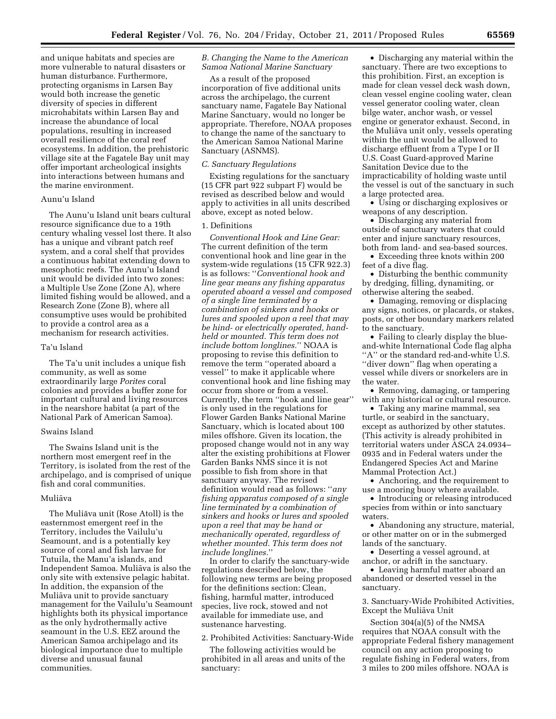and unique habitats and species are more vulnerable to natural disasters or human disturbance. Furthermore, protecting organisms in Larsen Bay would both increase the genetic diversity of species in different microhabitats within Larsen Bay and increase the abundance of local populations, resulting in increased overall resilience of the coral reef ecosystems. In addition, the prehistoric village site at the Fagatele Bay unit may offer important archeological insights into interactions between humans and the marine environment.

# Aunu'u Island

The Aunu'u Island unit bears cultural resource significance due to a 19th century whaling vessel lost there. It also has a unique and vibrant patch reef system, and a coral shelf that provides a continuous habitat extending down to mesophotic reefs. The Aunu'u Island unit would be divided into two zones: a Multiple Use Zone (Zone A), where limited fishing would be allowed, and a Research Zone (Zone B), where all consumptive uses would be prohibited to provide a control area as a mechanism for research activities.

# Ta'u Island

The Ta'u unit includes a unique fish community, as well as some extraordinarily large *Porites* coral colonies and provides a buffer zone for important cultural and living resources in the nearshore habitat (a part of the National Park of American Samoa).

#### Swains Island

The Swains Island unit is the northern most emergent reef in the Territory, is isolated from the rest of the archipelago, and is comprised of unique fish and coral communities.

#### Mulia¯va

The Mulia¯va unit (Rose Atoll) is the easternmost emergent reef in the Territory, includes the Vailulu'u Seamount, and is a potentially key source of coral and fish larvae for Tutuila, the Manu'a islands, and Independent Samoa. Muliāva is also the only site with extensive pelagic habitat. In addition, the expansion of the Mulia¯va unit to provide sanctuary management for the Vailulu'u Seamount highlights both its physical importance as the only hydrothermally active seamount in the U.S. EEZ around the American Samoa archipelago and its biological importance due to multiple diverse and unusual faunal communities.

#### *B. Changing the Name to the American Samoa National Marine Sanctuary*

As a result of the proposed incorporation of five additional units across the archipelago, the current sanctuary name, Fagatele Bay National Marine Sanctuary, would no longer be appropriate. Therefore, NOAA proposes to change the name of the sanctuary to the American Samoa National Marine Sanctuary (ASNMS).

#### *C. Sanctuary Regulations*

Existing regulations for the sanctuary (15 CFR part 922 subpart F) would be revised as described below and would apply to activities in all units described above, except as noted below.

#### 1. Definitions

*Conventional Hook and Line Gear:*  The current definition of the term conventional hook and line gear in the system-wide regulations (15 CFR 922.3) is as follows: ''*Conventional hook and line gear means any fishing apparatus operated aboard a vessel and composed of a single line terminated by a combination of sinkers and hooks or lures and spooled upon a reel that may be hind- or electrically operated, handheld or mounted. This term does not include bottom longlines.*'' NOAA is proposing to revise this definition to remove the term ''operated aboard a vessel'' to make it applicable where conventional hook and line fishing may occur from shore or from a vessel. Currently, the term ''hook and line gear'' is only used in the regulations for Flower Garden Banks National Marine Sanctuary, which is located about 100 miles offshore. Given its location, the proposed change would not in any way alter the existing prohibitions at Flower Garden Banks NMS since it is not possible to fish from shore in that sanctuary anyway. The revised definition would read as follows: ''*any fishing apparatus composed of a single line terminated by a combination of sinkers and hooks or lures and spooled upon a reel that may be hand or mechanically operated, regardless of whether mounted. This term does not include longlines.*''

In order to clarify the sanctuary-wide regulations described below, the following new terms are being proposed for the definitions section: Clean, fishing, harmful matter, introduced species, live rock, stowed and not available for immediate use, and sustenance harvesting.

2. Prohibited Activities: Sanctuary-Wide

The following activities would be prohibited in all areas and units of the sanctuary:

• Discharging any material within the sanctuary. There are two exceptions to this prohibition. First, an exception is made for clean vessel deck wash down, clean vessel engine cooling water, clean vessel generator cooling water, clean bilge water, anchor wash, or vessel engine or generator exhaust. Second, in the Muliava unit only, vessels operating within the unit would be allowed to discharge effluent from a Type I or II U.S. Coast Guard-approved Marine Sanitation Device due to the impracticability of holding waste until the vessel is out of the sanctuary in such a large protected area.

• Using or discharging explosives or weapons of any description.

• Discharging any material from outside of sanctuary waters that could enter and injure sanctuary resources, both from land- and sea-based sources.

• Exceeding three knots within 200 feet of a dive flag.

• Disturbing the benthic community by dredging, filling, dynamiting, or otherwise altering the seabed.

• Damaging, removing or displacing any signs, notices, or placards, or stakes, posts, or other boundary markers related to the sanctuary.

• Failing to clearly display the blueand-white International Code flag alpha "A" or the standard red-and-white U.S. ''diver down'' flag when operating a vessel while divers or snorkelers are in the water.

• Removing, damaging, or tampering with any historical or cultural resource.

• Taking any marine mammal, sea turtle, or seabird in the sanctuary, except as authorized by other statutes. (This activity is already prohibited in territorial waters under ASCA 24.0934– 0935 and in Federal waters under the Endangered Species Act and Marine Mammal Protection Act.)

• Anchoring, and the requirement to use a mooring buoy where available.

• Introducing or releasing introduced species from within or into sanctuary waters.

• Abandoning any structure, material, or other matter on or in the submerged lands of the sanctuary.

• Deserting a vessel aground, at anchor, or adrift in the sanctuary.

• Leaving harmful matter aboard an abandoned or deserted vessel in the sanctuary.

3. Sanctuary-Wide Prohibited Activities, Except the Mulia¯va Unit

Section 304(a)(5) of the NMSA requires that NOAA consult with the appropriate Federal fishery management council on any action proposing to regulate fishing in Federal waters, from 3 miles to 200 miles offshore. NOAA is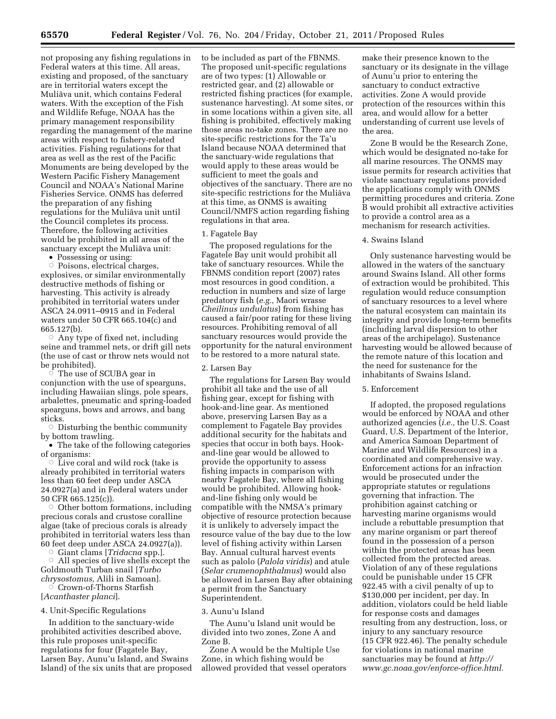not proposing any fishing regulations in Federal waters at this time. All areas, existing and proposed, of the sanctuary are in territorial waters except the Mulia¯va unit, which contains Federal waters. With the exception of the Fish and Wildlife Refuge, NOAA has the primary management responsibility regarding the management of the marine areas with respect to fishery-related activities. Fishing regulations for that area as well as the rest of the Pacific Monuments are being developed by the Western Pacific Fishery Management Council and NOAA's National Marine Fisheries Service. ONMS has deferred the preparation of any fishing regulations for the Mulia¯va unit until the Council completes its process. Therefore, the following activities would be prohibited in all areas of the sanctuary except the Muliāva unit:

• Possessing or using:

Æ Poisons, electrical charges, explosives, or similar environmentally destructive methods of fishing or harvesting. This activity is already prohibited in territorial waters under ASCA 24.0911–0915 and in Federal waters under 50 CFR 665.104(c) and 665.127(b).

 $\circ$  Any type of fixed net, including seine and trammel nets, or drift gill nets (the use of cast or throw nets would not be prohibited).

 $\circ$  The use of SCUBA gear in conjunction with the use of spearguns, including Hawaiian slings, pole spears, arbalettes, pneumatic and spring-loaded spearguns, bows and arrows, and bang sticks.

 $\overline{\circ}$  Disturbing the benthic community by bottom trawling.

• The take of the following categories of organisms:

 $\circ\,$  Live coral and wild rock (take is already prohibited in territorial waters less than 60 feet deep under ASCA 24.0927(a) and in Federal waters under 50 CFR 665.125(c)).

 $\circ$  Other bottom formations, including precious corals and crustose coralline algae (take of precious corals is already prohibited in territorial waters less than 60 feet deep under ASCA 24.0927(a)).

ÆGiant clams [*Tridacna* spp.].

 $\circ$  All species of live shells except the Goldmouth Turban snail [*Turbo chrysostomus,* Alili in Samoan].

 $\circ$  Crown-of-Thorns Starfish [*Acanthaster planci*].

4. Unit-Specific Regulations

In addition to the sanctuary-wide prohibited activities described above, this rule proposes unit-specific regulations for four (Fagatele Bay, Larsen Bay, Aunu'u Island, and Swains Island) of the six units that are proposed to be included as part of the FBNMS. The proposed unit-specific regulations are of two types: (1) Allowable or restricted gear, and (2) allowable or restricted fishing practices (for example, sustenance harvesting). At some sites, or in some locations within a given site, all fishing is prohibited, effectively making those areas no-take zones. There are no site-specific restrictions for the Ta'u Island because NOAA determined that the sanctuary-wide regulations that would apply to these areas would be sufficient to meet the goals and objectives of the sanctuary. There are no site-specific restrictions for the Muliava at this time, as ONMS is awaiting Council/NMFS action regarding fishing regulations in that area.

#### 1. Fagatele Bay

The proposed regulations for the Fagatele Bay unit would prohibit all take of sanctuary resources. While the FBNMS condition report (2007) rates most resources in good condition, a reduction in numbers and size of large predatory fish (*e.g.,* Maori wrasse *Cheilinus undulatus*) from fishing has caused a fair/poor rating for these living resources. Prohibiting removal of all sanctuary resources would provide the opportunity for the natural environment to be restored to a more natural state.

## 2. Larsen Bay

The regulations for Larsen Bay would prohibit all take and the use of all fishing gear, except for fishing with hook-and-line gear. As mentioned above, preserving Larsen Bay as a complement to Fagatele Bay provides additional security for the habitats and species that occur in both bays. Hookand-line gear would be allowed to provide the opportunity to assess fishing impacts in comparison with nearby Fagatele Bay, where all fishing would be prohibited. Allowing hookand-line fishing only would be compatible with the NMSA's primary objective of resource protection because it is unlikely to adversely impact the resource value of the bay due to the low level of fishing activity within Larsen Bay. Annual cultural harvest events such as palolo (*Palola viridis*) and atule (*Selar crumenophthalmus*) would also be allowed in Larsen Bay after obtaining a permit from the Sanctuary Superintendent.

#### 3. Aunu'u Island

The Aunu'u Island unit would be divided into two zones, Zone A and Zone B.

Zone A would be the Multiple Use Zone, in which fishing would be allowed provided that vessel operators make their presence known to the sanctuary or its designate in the village of Aunu'u prior to entering the sanctuary to conduct extractive activities. Zone A would provide protection of the resources within this area, and would allow for a better understanding of current use levels of the area.

Zone B would be the Research Zone, which would be designated no-take for all marine resources. The ONMS may issue permits for research activities that violate sanctuary regulations provided the applications comply with ONMS permitting procedures and criteria. Zone B would prohibit all extractive activities to provide a control area as a mechanism for research activities.

# 4. Swains Island

Only sustenance harvesting would be allowed in the waters of the sanctuary around Swains Island. All other forms of extraction would be prohibited. This regulation would reduce consumption of sanctuary resources to a level where the natural ecosystem can maintain its integrity and provide long-term benefits (including larval dispersion to other areas of the archipelago). Sustenance harvesting would be allowed because of the remote nature of this location and the need for sustenance for the inhabitants of Swains Island.

# 5. Enforcement

If adopted, the proposed regulations would be enforced by NOAA and other authorized agencies (*i.e.,* the U.S. Coast Guard, U.S. Department of the Interior, and America Samoan Department of Marine and Wildlife Resources) in a coordinated and comprehensive way. Enforcement actions for an infraction would be prosecuted under the appropriate statutes or regulations governing that infraction. The prohibition against catching or harvesting marine organisms would include a rebuttable presumption that any marine organism or part thereof found in the possession of a person within the protected areas has been collected from the protected areas. Violation of any of these regulations could be punishable under 15 CFR 922.45 with a civil penalty of up to \$130,000 per incident, per day. In addition, violators could be held liable for response costs and damages resulting from any destruction, loss, or injury to any sanctuary resource (15 CFR 922.46). The penalty schedule for violations in national marine sanctuaries may be found at *[http://](http://www.gc.noaa.gov/enforce-office.html) [www.gc.noaa.gov/enforce-office.html.](http://www.gc.noaa.gov/enforce-office.html)*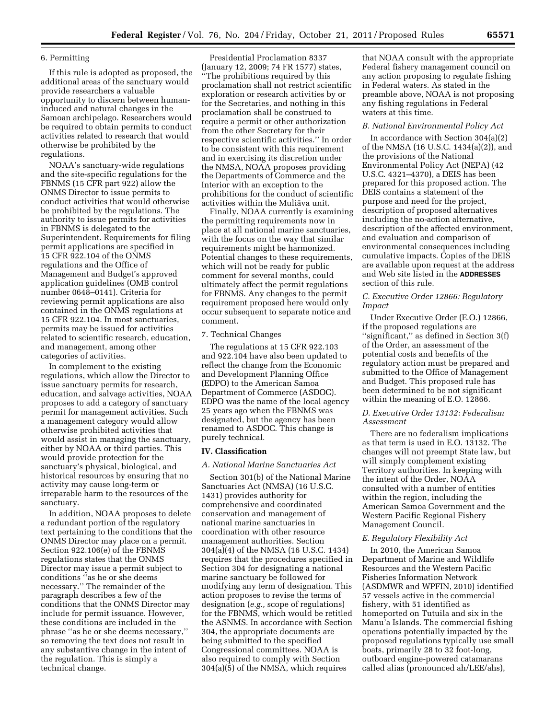# 6. Permitting

If this rule is adopted as proposed, the additional areas of the sanctuary would provide researchers a valuable opportunity to discern between humaninduced and natural changes in the Samoan archipelago. Researchers would be required to obtain permits to conduct activities related to research that would otherwise be prohibited by the regulations.

NOAA's sanctuary-wide regulations and the site-specific regulations for the FBNMS (15 CFR part 922) allow the ONMS Director to issue permits to conduct activities that would otherwise be prohibited by the regulations. The authority to issue permits for activities in FBNMS is delegated to the Superintendent. Requirements for filing permit applications are specified in 15 CFR 922.104 of the ONMS regulations and the Office of Management and Budget's approved application guidelines (OMB control number 0648–0141). Criteria for reviewing permit applications are also contained in the ONMS regulations at 15 CFR 922.104. In most sanctuaries, permits may be issued for activities related to scientific research, education, and management, among other categories of activities.

In complement to the existing regulations, which allow the Director to issue sanctuary permits for research, education, and salvage activities, NOAA proposes to add a category of sanctuary permit for management activities. Such a management category would allow otherwise prohibited activities that would assist in managing the sanctuary, either by NOAA or third parties. This would provide protection for the sanctuary's physical, biological, and historical resources by ensuring that no activity may cause long-term or irreparable harm to the resources of the sanctuary.

In addition, NOAA proposes to delete a redundant portion of the regulatory text pertaining to the conditions that the ONMS Director may place on a permit. Section 922.106(e) of the FBNMS regulations states that the ONMS Director may issue a permit subject to conditions ''as he or she deems necessary.'' The remainder of the paragraph describes a few of the conditions that the ONMS Director may include for permit issuance. However, these conditions are included in the phrase ''as he or she deems necessary,'' so removing the text does not result in any substantive change in the intent of the regulation. This is simply a technical change.

Presidential Proclamation 8337 (January 12, 2009; 74 FR 1577) states, ''The prohibitions required by this proclamation shall not restrict scientific exploration or research activities by or for the Secretaries, and nothing in this proclamation shall be construed to require a permit or other authorization from the other Secretary for their respective scientific activities.'' In order to be consistent with this requirement and in exercising its discretion under the NMSA, NOAA proposes providing the Departments of Commerce and the Interior with an exception to the prohibitions for the conduct of scientific activities within the Muliāva unit.

Finally, NOAA currently is examining the permitting requirements now in place at all national marine sanctuaries, with the focus on the way that similar requirements might be harmonized. Potential changes to these requirements, which will not be ready for public comment for several months, could ultimately affect the permit regulations for FBNMS. Any changes to the permit requirement proposed here would only occur subsequent to separate notice and comment.

## 7. Technical Changes

The regulations at 15 CFR 922.103 and 922.104 have also been updated to reflect the change from the Economic and Development Planning Office (EDPO) to the American Samoa Department of Commerce (ASDOC). EDPO was the name of the local agency 25 years ago when the FBNMS was designated, but the agency has been renamed to ASDOC. This change is purely technical.

#### **IV. Classification**

#### *A. National Marine Sanctuaries Act*

Section 301(b) of the National Marine Sanctuaries Act (NMSA) (16 U.S.C. 1431) provides authority for comprehensive and coordinated conservation and management of national marine sanctuaries in coordination with other resource management authorities. Section 304(a)(4) of the NMSA (16 U.S.C. 1434) requires that the procedures specified in Section 304 for designating a national marine sanctuary be followed for modifying any term of designation. This action proposes to revise the terms of designation (*e.g.,* scope of regulations) for the FBNMS, which would be retitled the ASNMS. In accordance with Section 304, the appropriate documents are being submitted to the specified Congressional committees. NOAA is also required to comply with Section 304(a)(5) of the NMSA, which requires

that NOAA consult with the appropriate Federal fishery management council on any action proposing to regulate fishing in Federal waters. As stated in the preamble above, NOAA is not proposing any fishing regulations in Federal waters at this time.

#### *B. National Environmental Policy Act*

In accordance with Section 304(a)(2) of the NMSA (16 U.S.C. 1434(a)(2)), and the provisions of the National Environmental Policy Act (NEPA) (42 U.S.C. 4321–4370), a DEIS has been prepared for this proposed action. The DEIS contains a statement of the purpose and need for the project, description of proposed alternatives including the no-action alternative, description of the affected environment, and evaluation and comparison of environmental consequences including cumulative impacts. Copies of the DEIS are available upon request at the address and Web site listed in the **ADDRESSES** section of this rule.

# *C. Executive Order 12866: Regulatory Impact*

Under Executive Order (E.O.) 12866, if the proposed regulations are "significant," as defined in Section 3(f) of the Order, an assessment of the potential costs and benefits of the regulatory action must be prepared and submitted to the Office of Management and Budget. This proposed rule has been determined to be not significant within the meaning of E.O. 12866.

# *D. Executive Order 13132: Federalism Assessment*

There are no federalism implications as that term is used in E.O. 13132. The changes will not preempt State law, but will simply complement existing Territory authorities. In keeping with the intent of the Order, NOAA consulted with a number of entities within the region, including the American Samoa Government and the Western Pacific Regional Fishery Management Council.

# *E. Regulatory Flexibility Act*

In 2010, the American Samoa Department of Marine and Wildlife Resources and the Western Pacific Fisheries Information Network (ASDMWR and WPFIN, 2010) identified 57 vessels active in the commercial fishery, with 51 identified as homeported on Tutuila and six in the Manu'a Islands. The commercial fishing operations potentially impacted by the proposed regulations typically use small boats, primarily 28 to 32 foot-long, outboard engine-powered catamarans called alias (pronounced ah/LEE/ahs),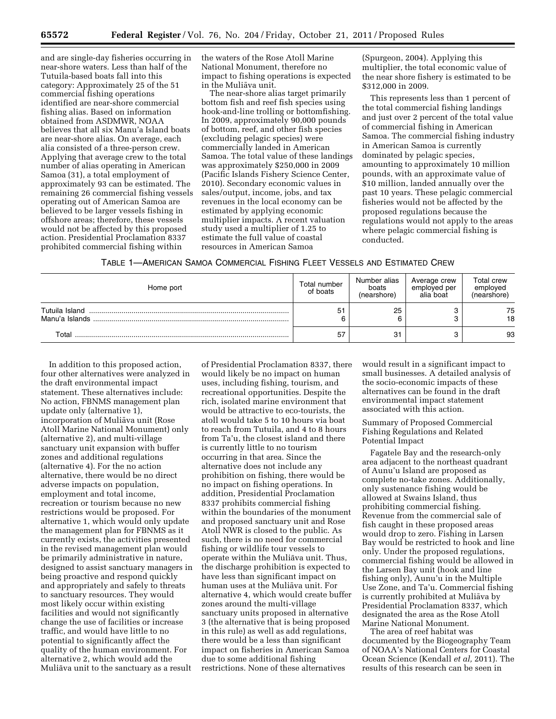and are single-day fisheries occurring in near-shore waters. Less than half of the Tutuila-based boats fall into this category: Approximately 25 of the 51 commercial fishing operations identified are near-shore commercial fishing alias. Based on information obtained from ASDMWR, NOAA believes that all six Manu'a Island boats are near-shore alias. On average, each alia consisted of a three-person crew. Applying that average crew to the total number of alias operating in American Samoa (31), a total employment of approximately 93 can be estimated. The remaining 26 commercial fishing vessels operating out of American Samoa are believed to be larger vessels fishing in offshore areas; therefore, these vessels would not be affected by this proposed action. Presidential Proclamation 8337 prohibited commercial fishing within

the waters of the Rose Atoll Marine National Monument, therefore no impact to fishing operations is expected in the Mulia¯va unit.

The near-shore alias target primarily bottom fish and reef fish species using hook-and-line trolling or bottomfishing. In 2009, approximately 90,000 pounds of bottom, reef, and other fish species (excluding pelagic species) were commercially landed in American Samoa. The total value of these landings was approximately \$250,000 in 2009 (Pacific Islands Fishery Science Center, 2010). Secondary economic values in sales/output, income, jobs, and tax revenues in the local economy can be estimated by applying economic multiplier impacts. A recent valuation study used a multiplier of 1.25 to estimate the full value of coastal resources in American Samoa

(Spurgeon, 2004). Applying this multiplier, the total economic value of the near shore fishery is estimated to be \$312,000 in 2009.

This represents less than 1 percent of the total commercial fishing landings and just over 2 percent of the total value of commercial fishing in American Samoa. The commercial fishing industry in American Samoa is currently dominated by pelagic species, amounting to approximately 10 million pounds, with an approximate value of \$10 million, landed annually over the past 10 years. These pelagic commercial fisheries would not be affected by the proposed regulations because the regulations would not apply to the areas where pelagic commercial fishing is conducted.

| TABLE 1—AMERICAN SAMOA COMMERCIAL FISHING FLEET VESSELS AND ESTIMATED CREW |  |
|----------------------------------------------------------------------------|--|
|----------------------------------------------------------------------------|--|

| Home port                        | Total number<br>of boats | Number alias<br>boats<br>(nearshore) | Average crew<br>employed per<br>alia boat | Total crew<br>employed<br>(nearshore) |
|----------------------------------|--------------------------|--------------------------------------|-------------------------------------------|---------------------------------------|
| Tutuila Island<br>Manu'a Islands | 51                       | 25                                   |                                           | 75<br>18                              |
| Total                            | 57                       | 31                                   |                                           | 93                                    |

In addition to this proposed action, four other alternatives were analyzed in the draft environmental impact statement. These alternatives include: No action, FBNMS management plan update only (alternative 1), incorporation of Muliāva unit (Rose Atoll Marine National Monument) only (alternative 2), and multi-village sanctuary unit expansion with buffer zones and additional regulations (alternative 4). For the no action alternative, there would be no direct adverse impacts on population, employment and total income, recreation or tourism because no new restrictions would be proposed. For alternative 1, which would only update the management plan for FBNMS as it currently exists, the activities presented in the revised management plan would be primarily administrative in nature, designed to assist sanctuary managers in being proactive and respond quickly and appropriately and safely to threats to sanctuary resources. They would most likely occur within existing facilities and would not significantly change the use of facilities or increase traffic, and would have little to no potential to significantly affect the quality of the human environment. For alternative 2, which would add the Muliāva unit to the sanctuary as a result

of Presidential Proclamation 8337, there would likely be no impact on human uses, including fishing, tourism, and recreational opportunities. Despite the rich, isolated marine environment that would be attractive to eco-tourists, the atoll would take 5 to 10 hours via boat to reach from Tutuila, and 4 to 8 hours from Ta'u, the closest island and there is currently little to no tourism occurring in that area. Since the alternative does not include any prohibition on fishing, there would be no impact on fishing operations. In addition, Presidential Proclamation 8337 prohibits commercial fishing within the boundaries of the monument and proposed sanctuary unit and Rose Atoll NWR is closed to the public. As such, there is no need for commercial fishing or wildlife tour vessels to operate within the Muliāva unit. Thus, the discharge prohibition is expected to have less than significant impact on human uses at the Muliāva unit. For alternative 4, which would create buffer zones around the multi-village sanctuary units proposed in alternative 3 (the alternative that is being proposed in this rule) as well as add regulations, there would be a less than significant impact on fisheries in American Samoa due to some additional fishing restrictions. None of these alternatives

would result in a significant impact to small businesses. A detailed analysis of the socio-economic impacts of these alternatives can be found in the draft environmental impact statement associated with this action.

Summary of Proposed Commercial Fishing Regulations and Related Potential Impact

Fagatele Bay and the research-only area adjacent to the northeast quadrant of Aunu'u Island are proposed as complete no-take zones. Additionally, only sustenance fishing would be allowed at Swains Island, thus prohibiting commercial fishing. Revenue from the commercial sale of fish caught in these proposed areas would drop to zero. Fishing in Larsen Bay would be restricted to hook and line only. Under the proposed regulations, commercial fishing would be allowed in the Larsen Bay unit (hook and line fishing only), Aunu'u in the Multiple Use Zone, and Ta'u. Commercial fishing is currently prohibited at Muliava by Presidential Proclamation 8337, which designated the area as the Rose Atoll Marine National Monument.

The area of reef habitat was documented by the Biogeography Team of NOAA's National Centers for Coastal Ocean Science (Kendall *et al,* 2011). The results of this research can be seen in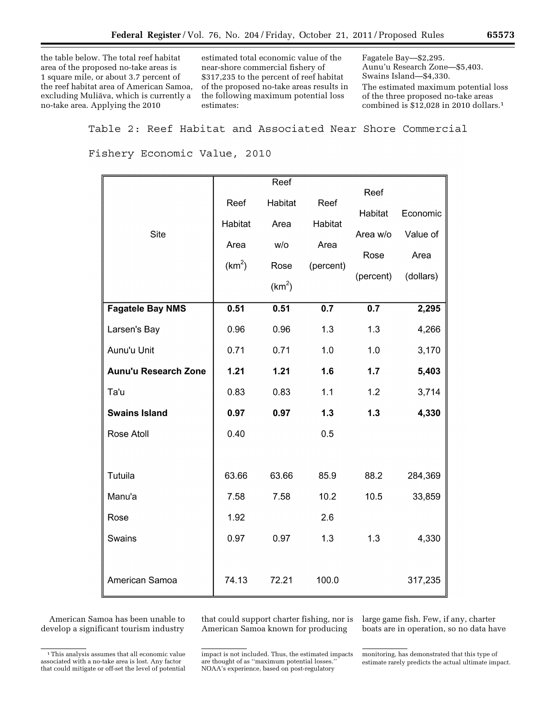the table below. The total reef habitat area of the proposed no-take areas is 1 square mile, or about 3.7 percent of the reef habitat area of American Samoa, excluding Muliāva, which is currently a no-take area. Applying the 2010

estimated total economic value of the near-shore commercial fishery of \$317,235 to the percent of reef habitat of the proposed no-take areas results in the following maximum potential loss estimates:

Fagatele Bay—\$2,295. Aunu'u Research Zone—\$5,403. Swains Island—\$4,330. The estimated maximum potential loss of the three proposed no-take areas combined is \$12,028 in 2010 dollars.1

Table 2: Reef Habitat and Associated Near Shore Commercial

Fishery Economic Value, 2010

|                             |                    | Reef               |           |           |           |
|-----------------------------|--------------------|--------------------|-----------|-----------|-----------|
|                             | Reef               | Habitat            | Reef      | Reef      |           |
|                             |                    |                    |           | Habitat   | Economic  |
| <b>Site</b>                 | Habitat            | Area               | Habitat   | Area w/o  | Value of  |
|                             | Area               | W/O                | Area      | Rose      | Area      |
|                             | (km <sup>2</sup> ) | Rose               | (percent) | (percent) | (dollars) |
|                             |                    | (km <sup>2</sup> ) |           |           |           |
| <b>Fagatele Bay NMS</b>     | 0.51               | 0.51               | 0.7       | 0.7       | 2,295     |
| Larsen's Bay                | 0.96               | 0.96               | 1.3       | 1.3       | 4,266     |
| Aunu'u Unit                 | 0.71               | 0.71               | 1.0       | 1.0       | 3,170     |
| <b>Aunu'u Research Zone</b> | 1.21               | 1.21               | 1.6       | 1.7       | 5,403     |
| Ta'u                        | 0.83               | 0.83               | 1.1       | 1.2       | 3,714     |
| <b>Swains Island</b>        | 0.97               | 0.97               | 1.3       | $1.3$     | 4,330     |
| Rose Atoll                  | 0.40               |                    | 0.5       |           |           |
|                             |                    |                    |           |           |           |
| Tutuila                     | 63.66              | 63.66              | 85.9      | 88.2      | 284,369   |
| Manu'a                      | 7.58               | 7.58               | 10.2      | 10.5      | 33,859    |
| Rose                        | 1.92               |                    | 2.6       |           |           |
| Swains                      | 0.97               | 0.97               | 1.3       | 1.3       | 4,330     |
|                             |                    |                    |           |           |           |
| American Samoa              | 74.13              | 72.21              | 100.0     |           | 317,235   |

American Samoa has been unable to develop a significant tourism industry that could support charter fishing, nor is American Samoa known for producing

<sup>1</sup>This analysis assumes that all economic value associated with a no-take area is lost. Any factor that could mitigate or off-set the level of potential

large game fish. Few, if any, charter boats are in operation, so no data have

impact is not included. Thus, the estimated impacts are thought of as ''maximum potential losses.'' NOAA's experience, based on post-regulatory

monitoring, has demonstrated that this type of estimate rarely predicts the actual ultimate impact.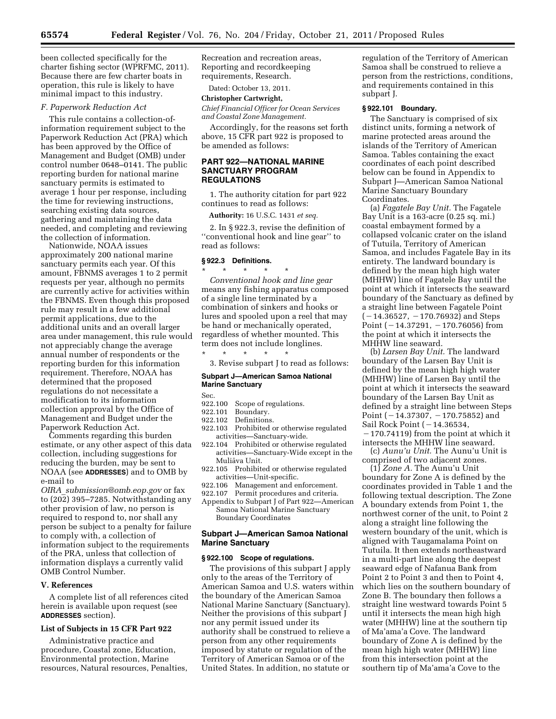been collected specifically for the charter fishing sector (WPRFMC, 2011). Because there are few charter boats in operation, this rule is likely to have minimal impact to this industry.

# *F. Paperwork Reduction Act*

This rule contains a collection-ofinformation requirement subject to the Paperwork Reduction Act (PRA) which has been approved by the Office of Management and Budget (OMB) under control number 0648–0141. The public reporting burden for national marine sanctuary permits is estimated to average 1 hour per response, including the time for reviewing instructions, searching existing data sources, gathering and maintaining the data needed, and completing and reviewing the collection of information.

Nationwide, NOAA issues approximately 200 national marine sanctuary permits each year. Of this amount, FBNMS averages 1 to 2 permit requests per year, although no permits are currently active for activities within the FBNMS. Even though this proposed rule may result in a few additional permit applications, due to the additional units and an overall larger area under management, this rule would not appreciably change the average annual number of respondents or the reporting burden for this information requirement. Therefore, NOAA has determined that the proposed regulations do not necessitate a modification to its information collection approval by the Office of Management and Budget under the Paperwork Reduction Act.

Comments regarding this burden estimate, or any other aspect of this data collection, including suggestions for reducing the burden, may be sent to NOAA (see **ADDRESSES**) and to OMB by e-mail to

*OIRA*\_*[submission@omb.eop.gov](mailto:OIRA_submission@omb.eop.gov)* or fax to (202) 395–7285. Notwithstanding any other provision of law, no person is required to respond to, nor shall any person be subject to a penalty for failure to comply with, a collection of information subject to the requirements of the PRA, unless that collection of information displays a currently valid OMB Control Number.

#### **V. References**

A complete list of all references cited herein is available upon request (see **ADDRESSES** section).

# **List of Subjects in 15 CFR Part 922**

Administrative practice and procedure, Coastal zone, Education, Environmental protection, Marine resources, Natural resources, Penalties, Recreation and recreation areas, Reporting and recordkeeping requirements, Research.

Dated: October 13, 2011.

# **Christopher Cartwright,**

*Chief Financial Officer for Ocean Services and Coastal Zone Management.* 

Accordingly, for the reasons set forth above, 15 CFR part 922 is proposed to be amended as follows:

# **PART 922—NATIONAL MARINE SANCTUARY PROGRAM REGULATIONS**

1. The authority citation for part 922 continues to read as follows:

**Authority:** 16 U.S.C. 1431 *et seq.* 

2. In § 922.3, revise the definition of ''conventional hook and line gear'' to read as follows:

# **§ 922.3 Definitions.**

\* \* \* \* \* *Conventional hook and line gear*  means any fishing apparatus composed of a single line terminated by a combination of sinkers and hooks or lures and spooled upon a reel that may be hand or mechanically operated, regardless of whether mounted. This term does not include longlines. \* \* \* \* \*

3. Revise subpart J to read as follows:

**Subpart J—American Samoa National** 

# **Marine Sanctuary**

- Sec.<br>922.100 922.100 Scope of regulations.<br>922.101 Boundary.
- 922.101 Boundary.<br>922.102 Definitions
- Definitions.
- 922.103 Prohibited or otherwise regulated activities—Sanctuary-wide.
- 922.104 Prohibited or otherwise regulated activities—Sanctuary-Wide except in the Muliāva Unit.
- 922.105 Prohibited or otherwise regulated activities—Unit-specific.
- 922.106 Management and enforcement.<br>922.107 Permit procedures and criteria.
- Permit procedures and criteria.
- Appendix to Subpart J of Part 922—American Samoa National Marine Sanctuary Boundary Coordinates

#### **Subpart J—American Samoa National Marine Sanctuary**

#### **§ 922.100 Scope of regulations.**

The provisions of this subpart J apply only to the areas of the Territory of American Samoa and U.S. waters within the boundary of the American Samoa National Marine Sanctuary (Sanctuary). Neither the provisions of this subpart J nor any permit issued under its authority shall be construed to relieve a person from any other requirements imposed by statute or regulation of the Territory of American Samoa or of the United States. In addition, no statute or

regulation of the Territory of American Samoa shall be construed to relieve a person from the restrictions, conditions, and requirements contained in this subpart J.

# **§ 922.101 Boundary.**

The Sanctuary is comprised of six distinct units, forming a network of marine protected areas around the islands of the Territory of American Samoa. Tables containing the exact coordinates of each point described below can be found in Appendix to Subpart J—American Samoa National Marine Sanctuary Boundary Coordinates.

(a) *Fagatele Bay Unit.* The Fagatele Bay Unit is a 163-acre (0.25 sq. mi.) coastal embayment formed by a collapsed volcanic crater on the island of Tutuila, Territory of American Samoa, and includes Fagatele Bay in its entirety. The landward boundary is defined by the mean high high water (MHHW) line of Fagatele Bay until the point at which it intersects the seaward boundary of the Sanctuary as defined by a straight line between Fagatele Point  $(-14.36527, -170.76932)$  and Steps Point  $(-14.37291, -170.76056)$  from the point at which it intersects the MHHW line seaward.

(b) *Larsen Bay Unit.* The landward boundary of the Larsen Bay Unit is defined by the mean high high water (MHHW) line of Larsen Bay until the point at which it intersects the seaward boundary of the Larsen Bay Unit as defined by a straight line between Steps Point  $(-14.37307, -170.75852)$  and Sail Rock Point  $(-14.36534,$  $-170.74119$  from the point at which it intersects the MHHW line seaward.

(c) *Aunu'u Unit.* The Aunu'u Unit is comprised of two adjacent zones.

(1) *Zone A.* The Aunu'u Unit boundary for Zone A is defined by the coordinates provided in Table 1 and the following textual description. The Zone A boundary extends from Point 1, the northwest corner of the unit, to Point 2 along a straight line following the western boundary of the unit, which is aligned with Taugamalama Point on Tutuila. It then extends northeastward in a multi-part line along the deepest seaward edge of Nafanua Bank from Point 2 to Point 3 and then to Point 4, which lies on the southern boundary of Zone B. The boundary then follows a straight line westward towards Point 5 until it intersects the mean high high water (MHHW) line at the southern tip of Ma'ama'a Cove. The landward boundary of Zone A is defined by the mean high high water (MHHW) line from this intersection point at the southern tip of Ma'ama'a Cove to the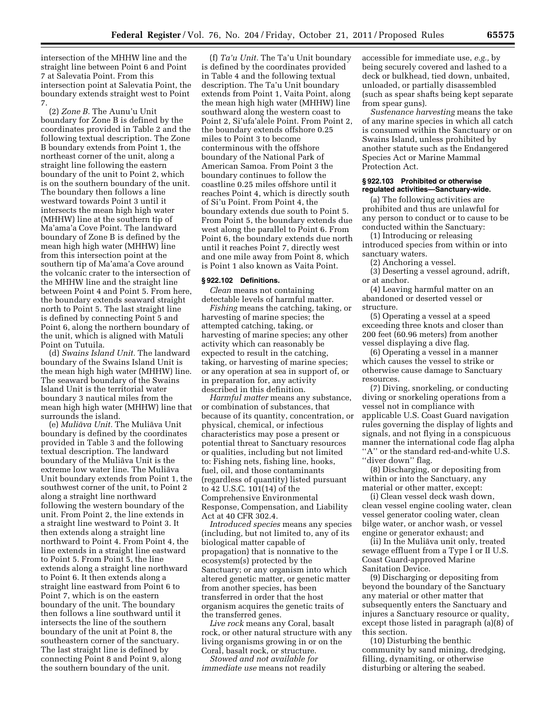intersection of the MHHW line and the straight line between Point 6 and Point 7 at Salevatia Point. From this intersection point at Salevatia Point, the boundary extends straight west to Point 7.

(2) *Zone B.* The Aunu'u Unit boundary for Zone B is defined by the coordinates provided in Table 2 and the following textual description. The Zone B boundary extends from Point 1, the northeast corner of the unit, along a straight line following the eastern boundary of the unit to Point 2, which is on the southern boundary of the unit. The boundary then follows a line westward towards Point 3 until it intersects the mean high high water (MHHW) line at the southern tip of Ma'ama'a Cove Point. The landward boundary of Zone B is defined by the mean high high water (MHHW) line from this intersection point at the southern tip of Ma'ama'a Cove around the volcanic crater to the intersection of the MHHW line and the straight line between Point 4 and Point 5. From here, the boundary extends seaward straight north to Point 5. The last straight line is defined by connecting Point 5 and Point 6, along the northern boundary of the unit, which is aligned with Matuli Point on Tutuila.

(d) *Swains Island Unit.* The landward boundary of the Swains Island Unit is the mean high high water (MHHW) line. The seaward boundary of the Swains Island Unit is the territorial water boundary 3 nautical miles from the mean high high water (MHHW) line that surrounds the island.

(e) *Mulia¯ va Unit.* The Mulia¯va Unit boundary is defined by the coordinates provided in Table 3 and the following textual description. The landward boundary of the Muliāva Unit is the extreme low water line. The Muliāva Unit boundary extends from Point 1, the southwest corner of the unit, to Point 2 along a straight line northward following the western boundary of the unit. From Point 2, the line extends in a straight line westward to Point 3. It then extends along a straight line northward to Point 4. From Point 4, the line extends in a straight line eastward to Point 5. From Point 5, the line extends along a straight line northward to Point 6. It then extends along a straight line eastward from Point 6 to Point 7, which is on the eastern boundary of the unit. The boundary then follows a line southward until it intersects the line of the southern boundary of the unit at Point 8, the southeastern corner of the sanctuary. The last straight line is defined by connecting Point 8 and Point 9, along the southern boundary of the unit.

(f) *Ta'u Unit.* The Ta'u Unit boundary is defined by the coordinates provided in Table 4 and the following textual description. The Ta'u Unit boundary extends from Point 1, Vaita Point, along the mean high high water (MHHW) line southward along the western coast to Point 2, Si'ufa'alele Point. From Point 2, the boundary extends offshore 0.25 miles to Point 3 to become conterminous with the offshore boundary of the National Park of American Samoa. From Point 3 the boundary continues to follow the coastline 0.25 miles offshore until it reaches Point 4, which is directly south of Si'u Point. From Point 4, the boundary extends due south to Point 5. From Point 5, the boundary extends due west along the parallel to Point 6. From Point 6, the boundary extends due north until it reaches Point 7, directly west and one mile away from Point 8, which is Point 1 also known as Vaita Point.

# **§ 922.102 Definitions.**

*Clean* means not containing detectable levels of harmful matter.

*Fishing* means the catching, taking, or harvesting of marine species; the attempted catching, taking, or harvesting of marine species; any other activity which can reasonably be expected to result in the catching, taking, or harvesting of marine species; or any operation at sea in support of, or in preparation for, any activity described in this definition.

*Harmful matter* means any substance, or combination of substances, that because of its quantity, concentration, or physical, chemical, or infectious characteristics may pose a present or potential threat to Sanctuary resources or qualities, including but not limited to: Fishing nets, fishing line, hooks, fuel, oil, and those contaminants (regardless of quantity) listed pursuant to 42 U.S.C. 101(14) of the Comprehensive Environmental Response, Compensation, and Liability Act at 40 CFR 302.4.

*Introduced species* means any species (including, but not limited to, any of its biological matter capable of propagation) that is nonnative to the ecosystem(s) protected by the Sanctuary; or any organism into which altered genetic matter, or genetic matter from another species, has been transferred in order that the host organism acquires the genetic traits of the transferred genes.

*Live rock* means any Coral, basalt rock, or other natural structure with any living organisms growing in or on the Coral, basalt rock, or structure.

*Stowed and not available for immediate use* means not readily accessible for immediate use, *e.g.,* by being securely covered and lashed to a deck or bulkhead, tied down, unbaited, unloaded, or partially disassembled (such as spear shafts being kept separate from spear guns).

*Sustenance harvesting* means the take of any marine species in which all catch is consumed within the Sanctuary or on Swains Island, unless prohibited by another statute such as the Endangered Species Act or Marine Mammal Protection Act.

#### **§ 922.103 Prohibited or otherwise regulated activities—Sanctuary-wide.**

(a) The following activities are prohibited and thus are unlawful for any person to conduct or to cause to be conducted within the Sanctuary:

(1) Introducing or releasing introduced species from within or into sanctuary waters.

(2) Anchoring a vessel.

(3) Deserting a vessel aground, adrift, or at anchor.

(4) Leaving harmful matter on an abandoned or deserted vessel or structure.

(5) Operating a vessel at a speed exceeding three knots and closer than 200 feet (60.96 meters) from another vessel displaying a dive flag.

(6) Operating a vessel in a manner which causes the vessel to strike or otherwise cause damage to Sanctuary resources.

(7) Diving, snorkeling, or conducting diving or snorkeling operations from a vessel not in compliance with applicable U.S. Coast Guard navigation rules governing the display of lights and signals, and not flying in a conspicuous manner the international code flag alpha "A" or the standard red-and-white U.S. ''diver down'' flag.

(8) Discharging, or depositing from within or into the Sanctuary, any material or other matter, except:

(i) Clean vessel deck wash down, clean vessel engine cooling water, clean vessel generator cooling water, clean bilge water, or anchor wash, or vessel engine or generator exhaust; and

(ii) In the Muliava unit only, treated sewage effluent from a Type I or II U.S. Coast Guard-approved Marine Sanitation Device.

(9) Discharging or depositing from beyond the boundary of the Sanctuary any material or other matter that subsequently enters the Sanctuary and injures a Sanctuary resource or quality, except those listed in paragraph (a)(8) of this section.

(10) Disturbing the benthic community by sand mining, dredging, filling, dynamiting, or otherwise disturbing or altering the seabed.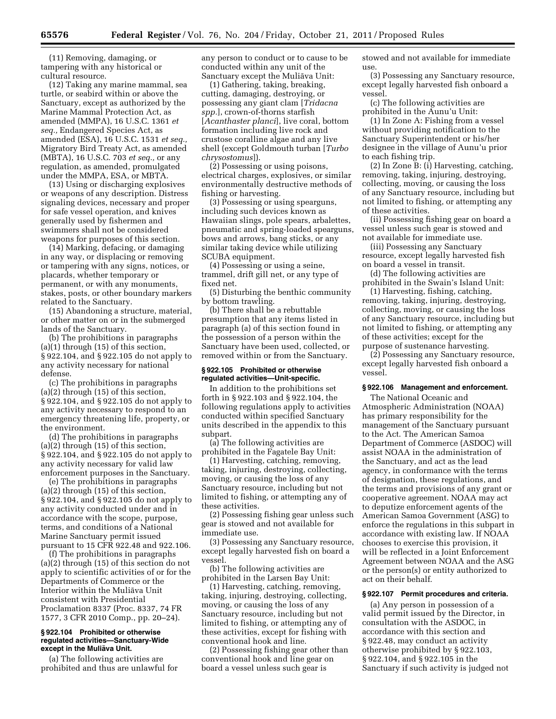(11) Removing, damaging, or tampering with any historical or cultural resource.

(12) Taking any marine mammal, sea turtle, or seabird within or above the Sanctuary, except as authorized by the Marine Mammal Protection Act, as amended (MMPA), 16 U.S.C. 1361 *et seq.,* Endangered Species Act, as amended (ESA), 16 U.S.C. 1531 *et seq.,*  Migratory Bird Treaty Act, as amended (MBTA), 16 U.S.C. 703 *et seq.,* or any regulation, as amended, promulgated under the MMPA, ESA, or MBTA.

(13) Using or discharging explosives or weapons of any description. Distress signaling devices, necessary and proper for safe vessel operation, and knives generally used by fishermen and swimmers shall not be considered weapons for purposes of this section.

(14) Marking, defacing, or damaging in any way, or displacing or removing or tampering with any signs, notices, or placards, whether temporary or permanent, or with any monuments, stakes, posts, or other boundary markers related to the Sanctuary.

(15) Abandoning a structure, material, or other matter on or in the submerged lands of the Sanctuary.

(b) The prohibitions in paragraphs (a)(1) through (15) of this section, § 922.104, and § 922.105 do not apply to any activity necessary for national defense.

(c) The prohibitions in paragraphs (a)(2) through (15) of this section, § 922.104, and § 922.105 do not apply to any activity necessary to respond to an emergency threatening life, property, or the environment.

(d) The prohibitions in paragraphs (a)(2) through (15) of this section, § 922.104, and § 922.105 do not apply to any activity necessary for valid law enforcement purposes in the Sanctuary.

(e) The prohibitions in paragraphs (a)(2) through (15) of this section, § 922.104, and § 922.105 do not apply to any activity conducted under and in accordance with the scope, purpose, terms, and conditions of a National Marine Sanctuary permit issued pursuant to 15 CFR 922.48 and 922.106.

(f) The prohibitions in paragraphs (a)(2) through (15) of this section do not apply to scientific activities of or for the Departments of Commerce or the Interior within the Mulia¯va Unit consistent with Presidential Proclamation 8337 (Proc. 8337, 74 FR 1577, 3 CFR 2010 Comp., pp. 20–24).

#### **§ 922.104 Prohibited or otherwise regulated activities—Sanctuary-Wide except in the Muliāva Unit.**

(a) The following activities are prohibited and thus are unlawful for any person to conduct or to cause to be conducted within any unit of the Sanctuary except the Muliāva Unit:

(1) Gathering, taking, breaking, cutting, damaging, destroying, or possessing any giant clam [*Tridacna spp.*], crown-of-thorns starfish [*Acanthaster planci*], live coral, bottom formation including live rock and crustose coralline algae and any live shell (except Goldmouth turban [*Turbo chrysostomus*]).

(2) Possessing or using poisons, electrical charges, explosives, or similar environmentally destructive methods of fishing or harvesting.

(3) Possessing or using spearguns, including such devices known as Hawaiian slings, pole spears, arbalettes, pneumatic and spring-loaded spearguns, bows and arrows, bang sticks, or any similar taking device while utilizing SCUBA equipment.

(4) Possessing or using a seine, trammel, drift gill net, or any type of fixed net.

(5) Disturbing the benthic community by bottom trawling.

(b) There shall be a rebuttable presumption that any items listed in paragraph (a) of this section found in the possession of a person within the Sanctuary have been used, collected, or removed within or from the Sanctuary.

#### **§ 922.105 Prohibited or otherwise regulated activities—Unit-specific.**

In addition to the prohibitions set forth in § 922.103 and § 922.104, the following regulations apply to activities conducted within specified Sanctuary units described in the appendix to this subpart.

(a) The following activities are prohibited in the Fagatele Bay Unit:

(1) Harvesting, catching, removing, taking, injuring, destroying, collecting, moving, or causing the loss of any Sanctuary resource, including but not limited to fishing, or attempting any of these activities.

(2) Possessing fishing gear unless such gear is stowed and not available for immediate use.

(3) Possessing any Sanctuary resource, except legally harvested fish on board a vessel.

(b) The following activities are prohibited in the Larsen Bay Unit:

(1) Harvesting, catching, removing, taking, injuring, destroying, collecting, moving, or causing the loss of any Sanctuary resource, including but not limited to fishing, or attempting any of these activities, except for fishing with conventional hook and line.

(2) Possessing fishing gear other than conventional hook and line gear on board a vessel unless such gear is

stowed and not available for immediate use.

(3) Possessing any Sanctuary resource, except legally harvested fish onboard a vessel.

(c) The following activities are prohibited in the Aunu'u Unit:

(1) In Zone A: Fishing from a vessel without providing notification to the Sanctuary Superintendent or his/her designee in the village of Aunu'u prior to each fishing trip.

(2) In Zone B: (i) Harvesting, catching, removing, taking, injuring, destroying, collecting, moving, or causing the loss of any Sanctuary resource, including but not limited to fishing, or attempting any of these activities.

(ii) Possessing fishing gear on board a vessel unless such gear is stowed and not available for immediate use.

(iii) Possessing any Sanctuary resource, except legally harvested fish on board a vessel in transit.

(d) The following activities are prohibited in the Swain's Island Unit:

(1) Harvesting, fishing, catching, removing, taking, injuring, destroying, collecting, moving, or causing the loss of any Sanctuary resource, including but not limited to fishing, or attempting any of these activities; except for the purpose of sustenance harvesting.

(2) Possessing any Sanctuary resource, except legally harvested fish onboard a vessel.

# **§ 922.106 Management and enforcement.**

The National Oceanic and Atmospheric Administration (NOAA) has primary responsibility for the management of the Sanctuary pursuant to the Act. The American Samoa Department of Commerce (ASDOC) will assist NOAA in the administration of the Sanctuary, and act as the lead agency, in conformance with the terms of designation, these regulations, and the terms and provisions of any grant or cooperative agreement. NOAA may act to deputize enforcement agents of the American Samoa Government (ASG) to enforce the regulations in this subpart in accordance with existing law. If NOAA chooses to exercise this provision, it will be reflected in a Joint Enforcement Agreement between NOAA and the ASG or the person(s) or entity authorized to act on their behalf.

## **§ 922.107 Permit procedures and criteria.**

(a) Any person in possession of a valid permit issued by the Director, in consultation with the ASDOC, in accordance with this section and § 922.48, may conduct an activity otherwise prohibited by § 922.103, § 922.104, and § 922.105 in the Sanctuary if such activity is judged not